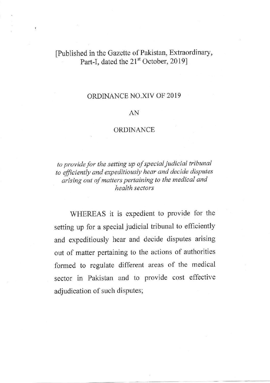## [Published in the Gazette of Pakistan, Extraordinary, Part-I, dated the 21<sup>st</sup> October, 2019]

 $\mathfrak{g}$ 

## ORDINANCE NO.XIV OF 2019

## AN

## ORDINANCE

to provide for the setting up of special judicial tribunal to efficiently and expeditiously hear and decide disputes arising out of matters pertaining to the medical and health sectors

WHEREAS it is expedient to provide for the setting up for a special judicial tribunai to efficiently and expeditiously hear and decide disputes arising out of matter pertaining to the actions of authorities formed to regulate different areas of the medical sector in Pakistan and to provide cost effective adjudication of such disputes;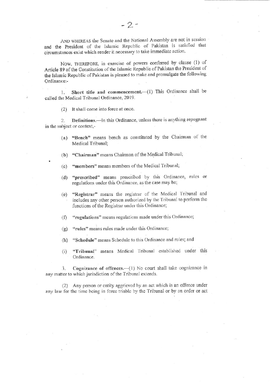AND WHEREAS the Senate and the National Assembly are not in session and the President of the Islamic Republic of Pakistan js salisfied that circumstances exist which render it necessary to take immediate action.

Now, THEREFORE, in exercise of powers conferred by clause (1) of Article 89 of the Constitution of the Islamic Republic of Pakistan the President of the Islamic Republic of Pakistan is pleased to make and promulgate the following Ordinance:-

1. Short title and commencement.-(1) This Ordinance shall be called the Medical Tribunal Ordinance, 2019.

(2) It shall come into force at once.

2. Definitions.-In this Ordinance, unless there is anything repugnant in the subject or context,-

- (a) "Bench" means bench as constituted by the Chairman of the Medical Tribunal;
- (b) "Chairman" means Chairman of the Medical Tribunal;
- (c) "members" means members of the Medical Tribunal;
- (d) "prescribed" means prescribed by this Ordinance, rules or regulations under this Ordinance, as the case may be;
- (e) "Registrar' means the registrar of the Medical Tribunal and includes any other person audorized by the Tribunal to perform the functions of the Registrar under this Ordinance;
- $(f)$  "regulations" means regulations made under this Ordinance;
- (g) "rules" means rules made under this Ordinance;
- (h) "Schedule" means Schedule to this Ordinance and rules; and
- (i) "Tribunal" means Medical Tribunal established under this Ordinance.

3. Cognizance of offences.—(1) No court shall take cognizance in any matter to which jurisdiction of the Tribunal extends.

(2) Any person or entity aggrieved by an act which is an offence under any law for the time being in force triable by the Tribunal or by an order or act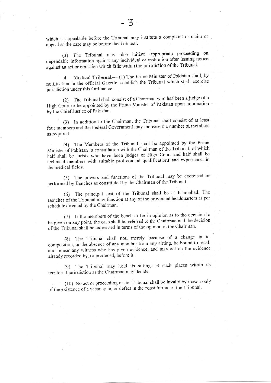which is appealable before the Tribunal may institute a complaint or claim or appeal as the case may be before the Tribunal.

(3) The Tribunal may also initiate appropriate proceeding on dependable information against any individual or institution after issuing notice against an act or omission which falls within the jurisdiction of the Tribunal.

Medical Tribunal.— (1) The Prime Minister of Pakistan shall, by  $4.$ notification in the official Gazette, establish the Tribunal which shall exercise jurisdiction under this Ordinance.

(2) The Tribunal shall consist of a Chairman who has been a judge of a High Court to be appointed by the Prime Minister of Pakistan upon nomination by the Chief Justice of Pakistan.

(3) In addition to the Chairman, the Tribunal shall consist of at least four members and the Federal Government may increase the number of members as required.

(4) The Members of the Tribunal shall be appointed by the Prime Minister of Pakistan in consultation with the Chairman of the Tribunal, of which half shall be jurists who have been judges of High Court and half shall be technical members with suitable professional qualifications and experience, in the medical fields.

(5) The powers and functions of the Tribunal may be exercised or performed by Benches as constituted by the Chairman of the Tribunal.

(6) The principal seat of the Tribunal shall be at Islamabad. The Benches of the Tribunal may function at any of the provincial headquarters as per schedule directed by the Chairman.

(7) If the members of the bench differ in opinion as to the decision to be given on any point, the case shall be referred to the Chairman and the decision of the Tribunal shall be expressed in terms of the opinion of the Chairman.

(8) The Tribunal shall not, merely because of a change in its composition, or the absence of any member from any sitting, be bound to recall and rehear any witness who has given evidence, and may act on the evidence already recorded by, or produced, before it.

(9) The Tribunal may hold its sittings at such places within its territorial jurisdiction as the Chairman may decide.

(10) No act or proceeding of the Tribunal shall be invalid by reason only of the existence of a vacancy in, or defect in the constitution, of the Tribunal.